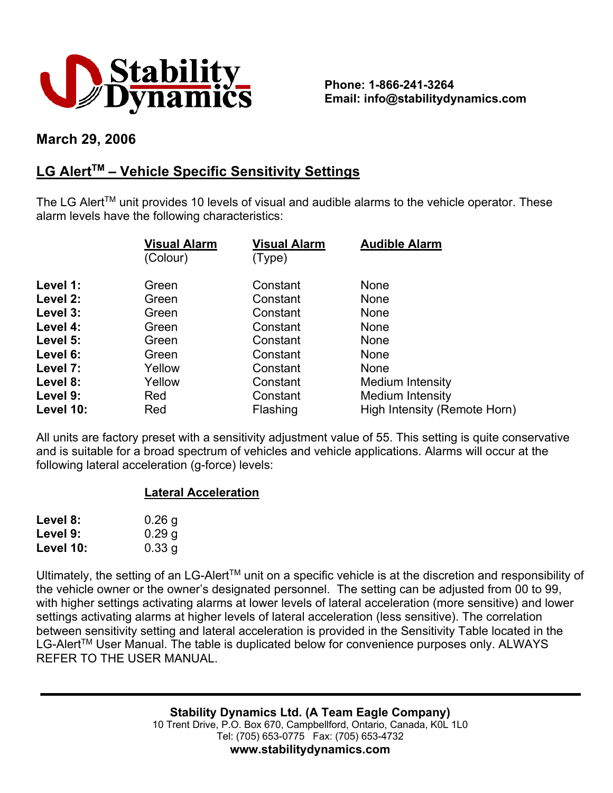

**Phone: 1-866-241-3264 Email: info@stabilitydynamics.com**

## **March 29, 2006**

## **LG AlertTM – Vehicle Specific Sensitivity Settings**

The LG Alert<sup>TM</sup> unit provides 10 levels of visual and audible alarms to the vehicle operator. These alarm levels have the following characteristics:

|           | <b>Visual Alarm</b><br>(Colour) | <b>Visual Alarm</b><br>(Type) | <b>Audible Alarm</b>         |
|-----------|---------------------------------|-------------------------------|------------------------------|
| Level 1:  | Green                           | Constant                      | None                         |
| Level 2:  | Green                           | Constant                      | <b>None</b>                  |
| Level 3:  | Green                           | Constant                      | None                         |
| Level 4:  | Green                           | Constant                      | <b>None</b>                  |
| Level 5:  | Green                           | Constant                      | <b>None</b>                  |
| Level 6:  | Green                           | Constant                      | <b>None</b>                  |
| Level 7:  | Yellow                          | Constant                      | None                         |
| Level 8:  | Yellow                          | Constant                      | Medium Intensity             |
| Level 9:  | Red                             | Constant                      | Medium Intensity             |
| Level 10: | Red                             | Flashing                      | High Intensity (Remote Horn) |

All units are factory preset with a sensitivity adjustment value of 55. This setting is quite conservative and is suitable for a broad spectrum of vehicles and vehicle applications. Alarms will occur at the following lateral acceleration (g-force) levels:

## **Lateral Acceleration**

| Level 8:  | 0.26 <sub>g</sub> |
|-----------|-------------------|
| Level 9:  | 0.29 <sub>g</sub> |
| Level 10: | 0.33 g            |

Ultimately, the setting of an LG-Alert™ unit on a specific vehicle is at the discretion and responsibility of the vehicle owner or the owner's designated personnel. The setting can be adjusted from 00 to 99, with higher settings activating alarms at lower levels of lateral acceleration (more sensitive) and lower settings activating alarms at higher levels of lateral acceleration (less sensitive). The correlation between sensitivity setting and lateral acceleration is provided in the Sensitivity Table located in the LG-Alert<sup>™</sup> User Manual. The table is duplicated below for convenience purposes only. ALWAYS REFER TO THE USER MANUAL.

> **Stability Dynamics Ltd. (A Team Eagle Company)** 10 Trent Drive, P.O. Box 670, Campbellford, Ontario, Canada, K0L 1L0 Tel: (705) 653-0775 Fax: (705) 653-4732 **www.stabilitydynamics.com**